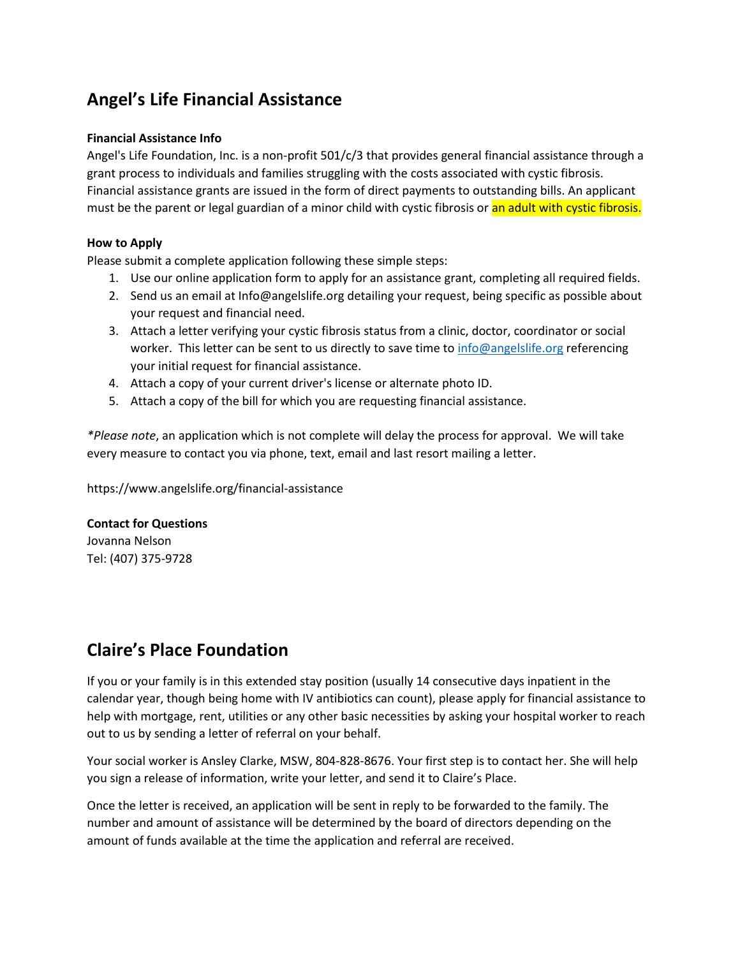# **Angel's Life Financial Assistance**

### **Financial Assistance Info**

Angel's Life Foundation, Inc. is a non-profit 501/c/3 that provides general financial assistance through a grant process to individuals and families struggling with the costs associated with cystic fibrosis. Financial assistance grants are issued in the form of direct payments to outstanding bills. An applicant must be the parent or legal guardian of a minor child with cystic fibrosis or an adult with cystic fibrosis.

### **How to Apply**

Please submit a complete application following these simple steps:

- 1. Use our online application form to apply for an assistance grant, completing all required fields.
- 2. Send us an email at [Info@angelslife.org](mailto:Info@angelslife.org?subject=Angel%27s%20Life%20Financial%20Assistance%20Request) detailing your request, being specific as possible about your request and financial need.
- 3. Attach a letter verifying your cystic fibrosis status from a clinic, doctor, coordinator or social worker. This letter can be sent to us directly to save time to [info@angelslife.org](mailto:info@angelslife.org) referencing your initial request for financial assistance.
- 4. Attach a copy of your current driver's license or alternate photo ID.
- 5. Attach a copy of the bill for which you are requesting financial assistance.

*\*Please note*, an application which is not complete will delay the process for approval. We will take every measure to contact you via phone, text, email and last resort mailing a letter.

<https://www.angelslife.org/financial-assistance>

### **Contact for Questions**

Jovanna Nelson Tel: (407) 375-9728

## **Claire's Place Foundation**

If you or your family is in this extended stay position (usually 14 consecutive days inpatient in the calendar year, though being home with IV antibiotics can count), please apply for financial assistance to help with mortgage, rent, utilities or any other basic necessities by asking your hospital worker to reach out to us by sending a letter of referral on your behalf.

Your social worker is Ansley Clarke, MSW, 804-828-8676. Your first step is to contact her. She will help you sign a release of information, write your letter, and send it to Claire's Place.

Once the letter is received, an application will be sent in reply to be forwarded to the family. The number and amount of assistance will be determined by the board of directors depending on the amount of funds available at the time the application and referral are received.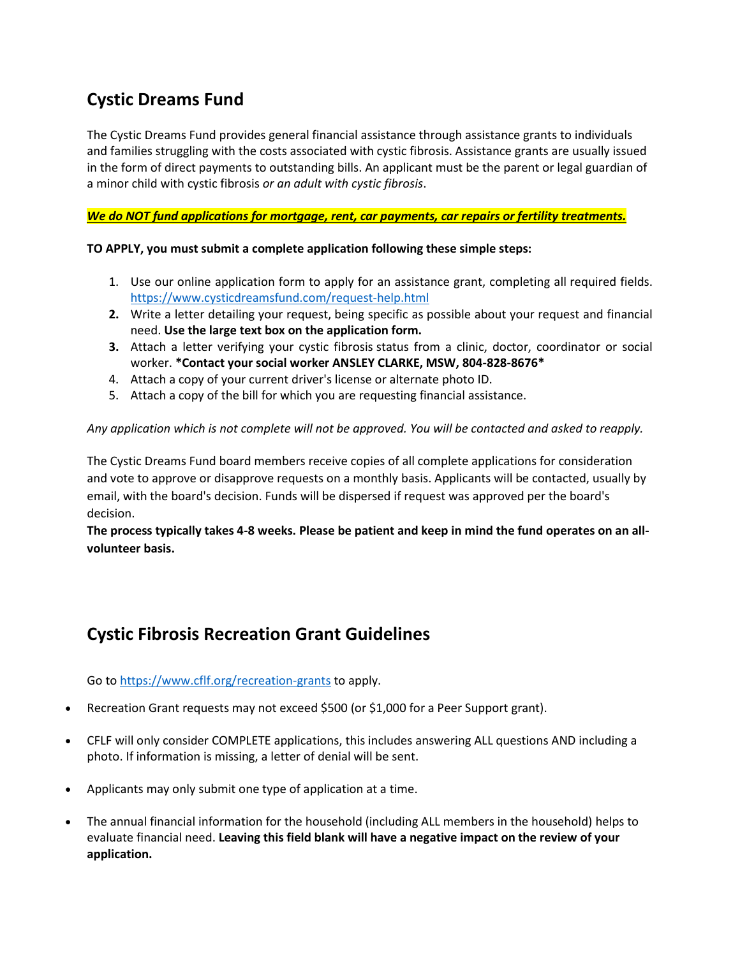# **Cystic Dreams Fund**

The Cystic Dreams Fund provides general financial assistance through assistance grants to individuals and families struggling with the costs associated with cystic fibrosis. Assistance grants are usually issued in the form of direct payments to outstanding bills. An applicant must be the parent or legal guardian of a minor child with cystic fibrosis *or an adult with cystic fibrosis*.

*We do NOT fund applications for mortgage, rent, car payments, car repairs or fertility treatments.*

### **TO APPLY, you must submit a complete application following these simple steps:**

- 1. Use our online application form to apply for an assistance grant, completing all required fields. <https://www.cysticdreamsfund.com/request-help.html>
- **2.** Write a letter detailing your request, being specific as possible about your request and financial need. **Use the large text box on the application form.**
- **3.** Attach a letter verifying your cystic fibrosis status from a clinic, doctor, coordinator or social worker. **\*Contact your social worker ANSLEY CLARKE, MSW, 804-828-8676\***
- 4. Attach a copy of your current driver's license or alternate photo ID.
- 5. Attach a copy of the bill for which you are requesting financial assistance.

#### *Any application which is not complete will not be approved. You will be contacted and asked to reapply.*

The Cystic Dreams Fund board members receive copies of all complete applications for consideration and vote to approve or disapprove requests on a monthly basis. Applicants will be contacted, usually by email, with the board's decision. Funds will be dispersed if request was approved per the board's decision.

**The process typically takes 4-8 weeks. Please be patient and keep in mind the fund operates on an allvolunteer basis.**

## **Cystic Fibrosis Recreation Grant Guidelines**

Go to <https://www.cflf.org/recreation-grants> to apply.

- Recreation Grant requests may not exceed \$500 (or \$1,000 for a Peer Support grant).
- CFLF will only consider COMPLETE applications, this includes answering ALL questions AND including a photo. If information is missing, a letter of denial will be sent.
- Applicants may only submit one type of application at a time.
- The annual financial information for the household (including ALL members in the household) helps to evaluate financial need. **Leaving this field blank will have a negative impact on the review of your application.**